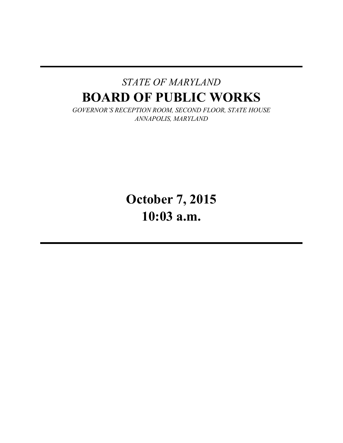## *STATE OF MARYLAND* **BOARD OF PUBLIC WORKS**

*GOVERNOR'S RECEPTION ROOM, SECOND FLOOR, STATE HOUSE ANNAPOLIS, MARYLAND*

> **October 7, 2015 10:03 a.m.**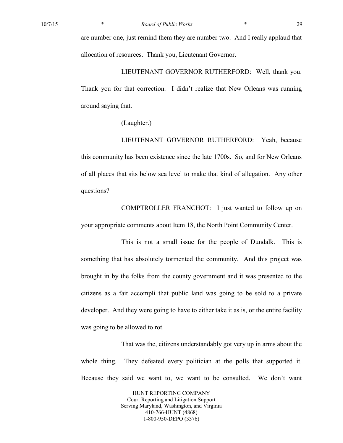are number one, just remind them they are number two. And I really applaud that allocation of resources. Thank you, Lieutenant Governor.

LIEUTENANT GOVERNOR RUTHERFORD: Well, thank you. Thank you for that correction. I didn't realize that New Orleans was running around saying that.

(Laughter.)

LIEUTENANT GOVERNOR RUTHERFORD: Yeah, because this community has been existence since the late 1700s. So, and for New Orleans of all places that sits below sea level to make that kind of allegation. Any other questions?

COMPTROLLER FRANCHOT: I just wanted to follow up on your appropriate comments about Item 18, the North Point Community Center.

This is not a small issue for the people of Dundalk. This is something that has absolutely tormented the community. And this project was brought in by the folks from the county government and it was presented to the citizens as a fait accompli that public land was going to be sold to a private developer. And they were going to have to either take it as is, or the entire facility was going to be allowed to rot.

That was the, citizens understandably got very up in arms about the whole thing. They defeated every politician at the polls that supported it. Because they said we want to, we want to be consulted. We don't want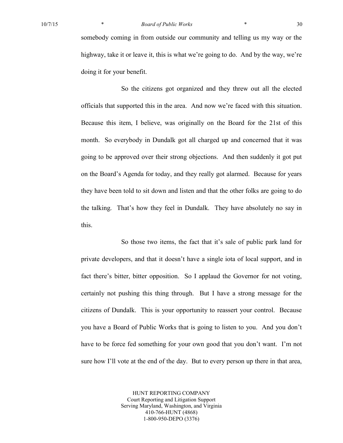## 10/7/15 \* *Board of Public Works* \* 30

somebody coming in from outside our community and telling us my way or the highway, take it or leave it, this is what we're going to do. And by the way, we're doing it for your benefit.

So the citizens got organized and they threw out all the elected officials that supported this in the area. And now we're faced with this situation. Because this item, I believe, was originally on the Board for the 21st of this month. So everybody in Dundalk got all charged up and concerned that it was going to be approved over their strong objections. And then suddenly it got put on the Board's Agenda for today, and they really got alarmed. Because for years they have been told to sit down and listen and that the other folks are going to do the talking. That's how they feel in Dundalk. They have absolutely no say in this.

So those two items, the fact that it's sale of public park land for private developers, and that it doesn't have a single iota of local support, and in fact there's bitter, bitter opposition. So I applaud the Governor for not voting, certainly not pushing this thing through. But I have a strong message for the citizens of Dundalk. This is your opportunity to reassert your control. Because you have a Board of Public Works that is going to listen to you. And you don't have to be force fed something for your own good that you don't want. I'm not sure how I'll vote at the end of the day. But to every person up there in that area,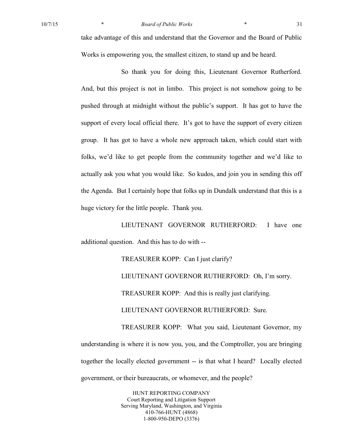take advantage of this and understand that the Governor and the Board of Public Works is empowering you, the smallest citizen, to stand up and be heard.

So thank you for doing this, Lieutenant Governor Rutherford. And, but this project is not in limbo. This project is not somehow going to be pushed through at midnight without the public's support. It has got to have the support of every local official there. It's got to have the support of every citizen group. It has got to have a whole new approach taken, which could start with folks, we'd like to get people from the community together and we'd like to actually ask you what you would like. So kudos, and join you in sending this off the Agenda. But I certainly hope that folks up in Dundalk understand that this is a huge victory for the little people. Thank you.

LIEUTENANT GOVERNOR RUTHERFORD: I have one additional question. And this has to do with --

TREASURER KOPP: Can I just clarify?

LIEUTENANT GOVERNOR RUTHERFORD: Oh, I'm sorry. TREASURER KOPP: And this is really just clarifying. LIEUTENANT GOVERNOR RUTHERFORD: Sure. TREASURER KOPP: What you said, Lieutenant Governor, my understanding is where it is now you, you, and the Comptroller, you are bringing together the locally elected government -- is that what I heard? Locally elected government, or their bureaucrats, or whomever, and the people?